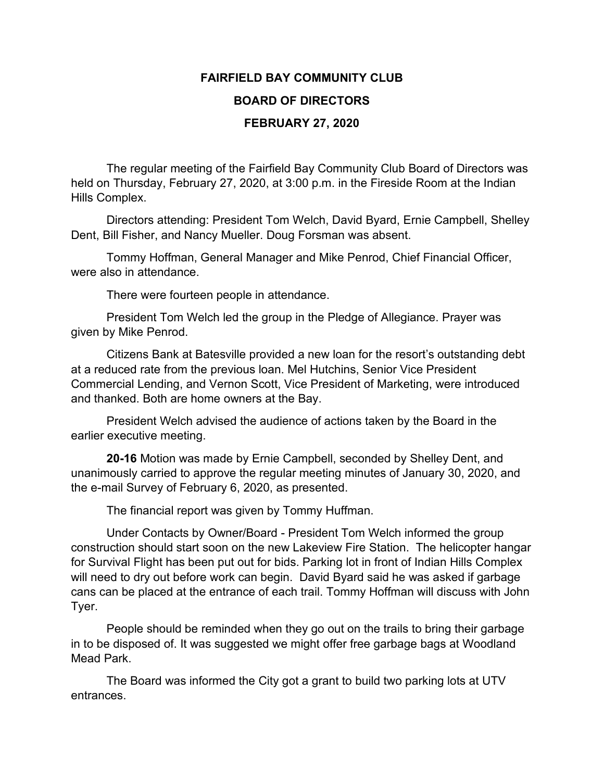## **FAIRFIELD BAY COMMUNITY CLUB BOARD OF DIRECTORS FEBRUARY 27, 2020**

The regular meeting of the Fairfield Bay Community Club Board of Directors was held on Thursday, February 27, 2020, at 3:00 p.m. in the Fireside Room at the Indian Hills Complex.

Directors attending: President Tom Welch, David Byard, Ernie Campbell, Shelley Dent, Bill Fisher, and Nancy Mueller. Doug Forsman was absent.

Tommy Hoffman, General Manager and Mike Penrod, Chief Financial Officer, were also in attendance.

There were fourteen people in attendance.

President Tom Welch led the group in the Pledge of Allegiance. Prayer was given by Mike Penrod.

Citizens Bank at Batesville provided a new loan for the resort's outstanding debt at a reduced rate from the previous loan. Mel Hutchins, Senior Vice President Commercial Lending, and Vernon Scott, Vice President of Marketing, were introduced and thanked. Both are home owners at the Bay.

President Welch advised the audience of actions taken by the Board in the earlier executive meeting.

**20-16** Motion was made by Ernie Campbell, seconded by Shelley Dent, and unanimously carried to approve the regular meeting minutes of January 30, 2020, and the e-mail Survey of February 6, 2020, as presented.

The financial report was given by Tommy Huffman.

Under Contacts by Owner/Board - President Tom Welch informed the group construction should start soon on the new Lakeview Fire Station. The helicopter hangar for Survival Flight has been put out for bids. Parking lot in front of Indian Hills Complex will need to dry out before work can begin. David Byard said he was asked if garbage cans can be placed at the entrance of each trail. Tommy Hoffman will discuss with John Tyer.

People should be reminded when they go out on the trails to bring their garbage in to be disposed of. It was suggested we might offer free garbage bags at Woodland Mead Park.

The Board was informed the City got a grant to build two parking lots at UTV entrances.